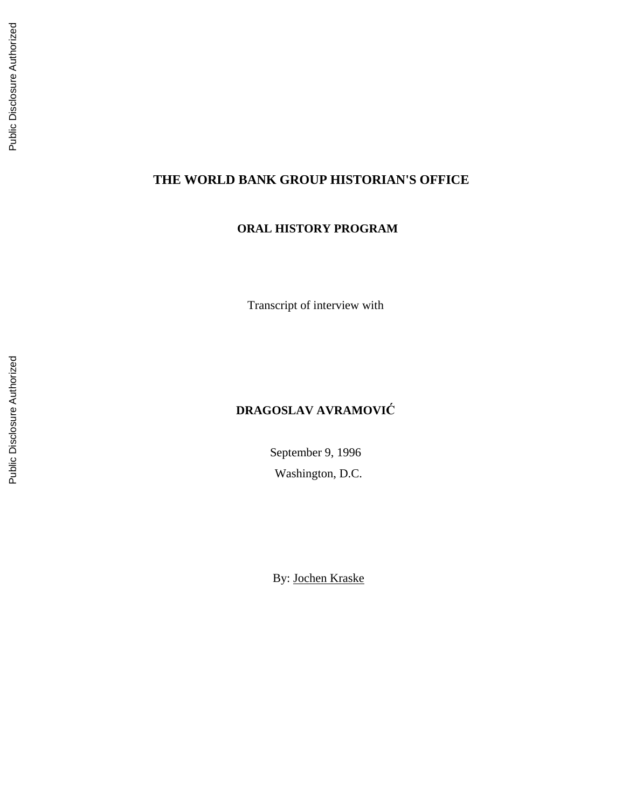# **THE WORLD BANK GROUP HISTORIAN'S OFFICE**

# **ORAL HISTORY PROGRAM**

Transcript of interview with

# **DRAGOSLAV AVRAMOVI Ć**

September 9, 1996 Washington, D.C.

By: Jochen Kraske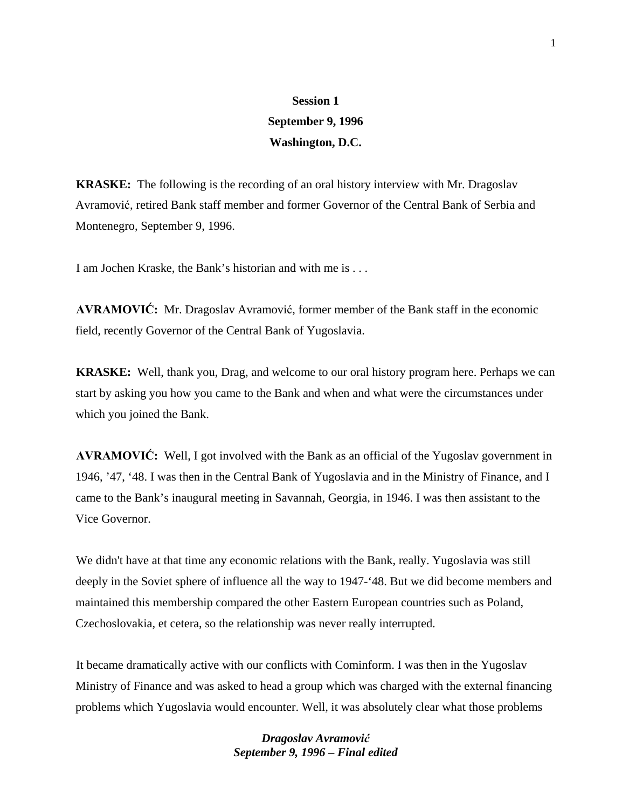# **Session 1 September 9, 1996 Washington, D.C.**

**KRASKE:** The following is the recording of an oral history interview with Mr. Dragoslav Avramović, retired Bank staff member and former Governor of the Central Bank of Serbia and Montenegro, September 9, 1996.

I am Jochen Kraske, the Bank's historian and with me is . . .

**AVRAMOVIĆ:** Mr. Dragoslav Avramović, former member of the Bank staff in the economic field, recently Governor of the Central Bank of Yugoslavia.

**KRASKE:** Well, thank you, Drag, and welcome to our oral history program here. Perhaps we can start by asking you how you came to the Bank and when and what were the circumstances under which you joined the Bank.

**AVRAMOVIĆ:** Well, I got involved with the Bank as an official of the Yugoslav government in 1946, '47, '48. I was then in the Central Bank of Yugoslavia and in the Ministry of Finance, and I came to the Bank's inaugural meeting in Savannah, Georgia, in 1946. I was then assistant to the Vice Governor.

We didn't have at that time any economic relations with the Bank, really. Yugoslavia was still deeply in the Soviet sphere of influence all the way to 1947-'48. But we did become members and maintained this membership compared the other Eastern European countries such as Poland, Czechoslovakia, et cetera, so the relationship was never really interrupted.

It became dramatically active with our conflicts with Cominform. I was then in the Yugoslav Ministry of Finance and was asked to head a group which was charged with the external financing problems which Yugoslavia would encounter. Well, it was absolutely clear what those problems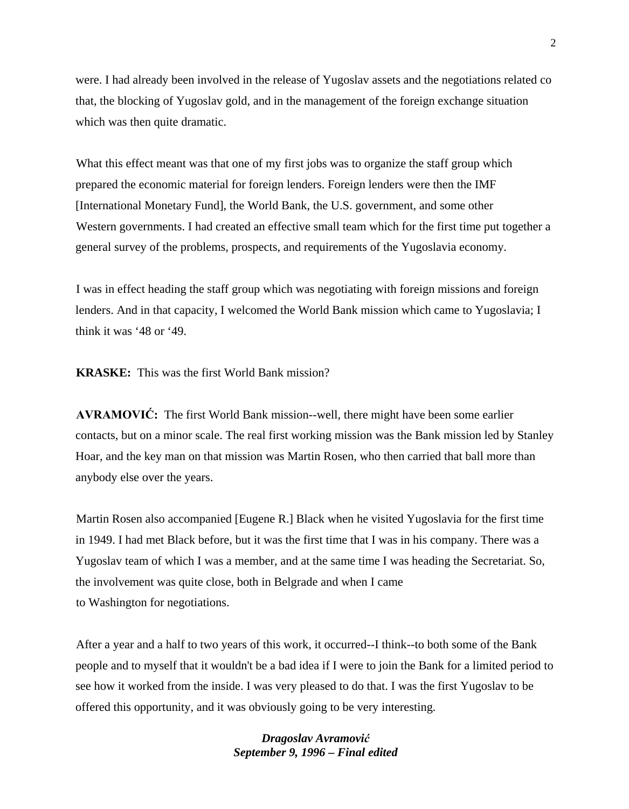were. I had already been involved in the release of Yugoslav assets and the negotiations related co that, the blocking of Yugoslav gold, and in the management of the foreign exchange situation which was then quite dramatic.

What this effect meant was that one of my first jobs was to organize the staff group which prepared the economic material for foreign lenders. Foreign lenders were then the IMF [International Monetary Fund], the World Bank, the U.S. government, and some other Western governments. I had created an effective small team which for the first time put together a general survey of the problems, prospects, and requirements of the Yugoslavia economy.

I was in effect heading the staff group which was negotiating with foreign missions and foreign lenders. And in that capacity, I welcomed the World Bank mission which came to Yugoslavia; I think it was '48 or '49.

**KRASKE:** This was the first World Bank mission?

**AVRAMOVIĆ:** The first World Bank mission--well, there might have been some earlier contacts, but on a minor scale. The real first working mission was the Bank mission led by Stanley Hoar, and the key man on that mission was Martin Rosen, who then carried that ball more than anybody else over the years.

Martin Rosen also accompanied [Eugene R.] Black when he visited Yugoslavia for the first time in 1949. I had met Black before, but it was the first time that I was in his company. There was a Yugoslav team of which I was a member, and at the same time I was heading the Secretariat. So, the involvement was quite close, both in Belgrade and when I came to Washington for negotiations.

After a year and a half to two years of this work, it occurred--I think--to both some of the Bank people and to myself that it wouldn't be a bad idea if I were to join the Bank for a limited period to see how it worked from the inside. I was very pleased to do that. I was the first Yugoslav to be offered this opportunity, and it was obviously going to be very interesting.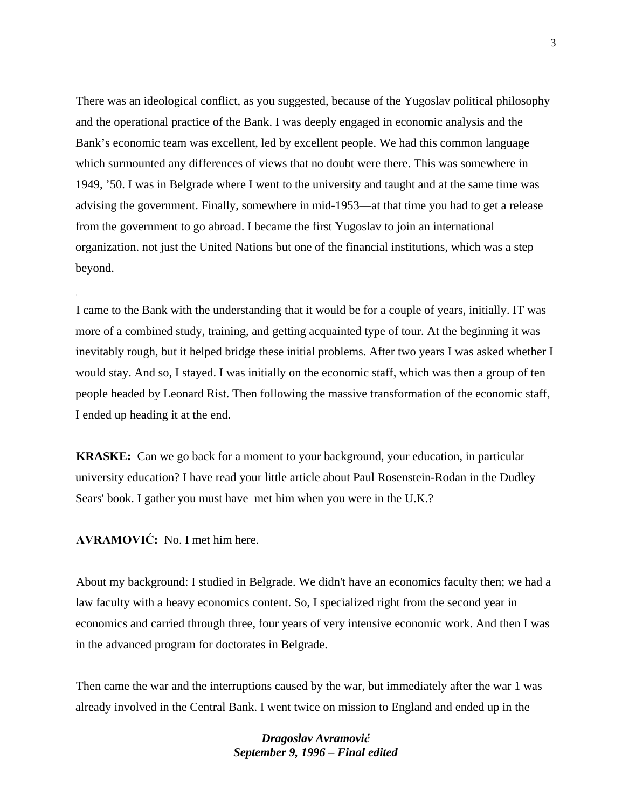There was an ideological conflict, as you suggested, because of the Yugoslav political philosophy and the operational practice of the Bank. I was deeply engaged in economic analysis and the Bank's economic team was excellent, led by excellent people. We had this common language which surmounted any differences of views that no doubt were there. This was somewhere in 1949, '50. I was in Belgrade where I went to the university and taught and at the same time was advising the government. Finally, somewhere in mid-1953—at that time you had to get a release from the government to go abroad. I became the first Yugoslav to join an international organization. not just the United Nations but one of the financial institutions, which was a step beyond.

I came to the Bank with the understanding that it would be for a couple of years, initially. IT was more of a combined study, training, and getting acquainted type of tour. At the beginning it was inevitably rough, but it helped bridge these initial problems. After two years I was asked whether I would stay. And so, I stayed. I was initially on the economic staff, which was then a group of ten people headed by Leonard Rist. Then following the massive transformation of the economic staff, I ended up heading it at the end.

**KRASKE:** Can we go back for a moment to your background, your education, in particular university education? I have read your little article about Paul Rosenstein-Rodan in the Dudley Sears' book. I gather you must have met him when you were in the U.K.?

**AVRAMOVIĆ:** No. I met him here.

About my background: I studied in Belgrade. We didn't have an economics faculty then; we had a law faculty with a heavy economics content. So, I specialized right from the second year in economics and carried through three, four years of very intensive economic work. And then I was in the advanced program for doctorates in Belgrade.

Then came the war and the interruptions caused by the war, but immediately after the war 1 was already involved in the Central Bank. I went twice on mission to England and ended up in the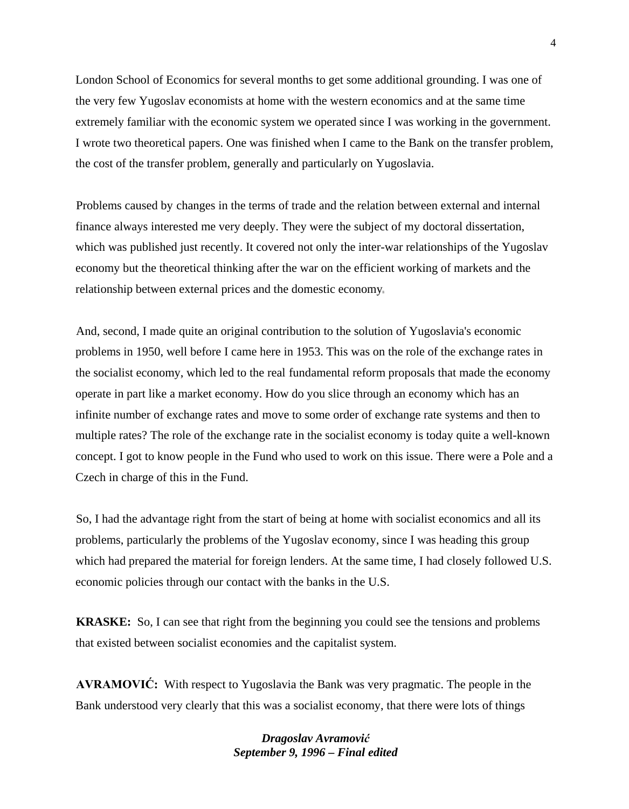London School of Economics for several months to get some additional grounding. I was one of the very few Yugoslav economists at home with the western economics and at the same time extremely familiar with the economic system we operated since I was working in the government. I wrote two theoretical papers. One was finished when I came to the Bank on the transfer problem, the cost of the transfer problem, generally and particularly on Yugoslavia.

Problems caused by changes in the terms of trade and the relation between external and internal finance always interested me very deeply. They were the subject of my doctoral dissertation, which was published just recently. It covered not only the inter-war relationships of the Yugoslav economy but the theoretical thinking after the war on the efficient working of markets and the relationship between external prices and the domestic economy

And, second, I made quite an original contribution to the solution of Yugoslavia's economic problems in 1950, well before I came here in 1953. This was on the role of the exchange rates in the socialist economy, which led to the real fundamental reform proposals that made the economy operate in part like a market economy. How do you slice through an economy which has an infinite number of exchange rates and move to some order of exchange rate systems and then to multiple rates? The role of the exchange rate in the socialist economy is today quite a well-known concept. I got to know people in the Fund who used to work on this issue. There were a Pole and a Czech in charge of this in the Fund.

So, I had the advantage right from the start of being at home with socialist economics and all its problems, particularly the problems of the Yugoslav economy, since I was heading this group which had prepared the material for foreign lenders. At the same time, I had closely followed U.S. economic policies through our contact with the banks in the U.S.

**KRASKE:** So, I can see that right from the beginning you could see the tensions and problems that existed between socialist economies and the capitalist system.

**AVRAMOVIĆ:** With respect to Yugoslavia the Bank was very pragmatic. The people in the Bank understood very clearly that this was a socialist economy, that there were lots of things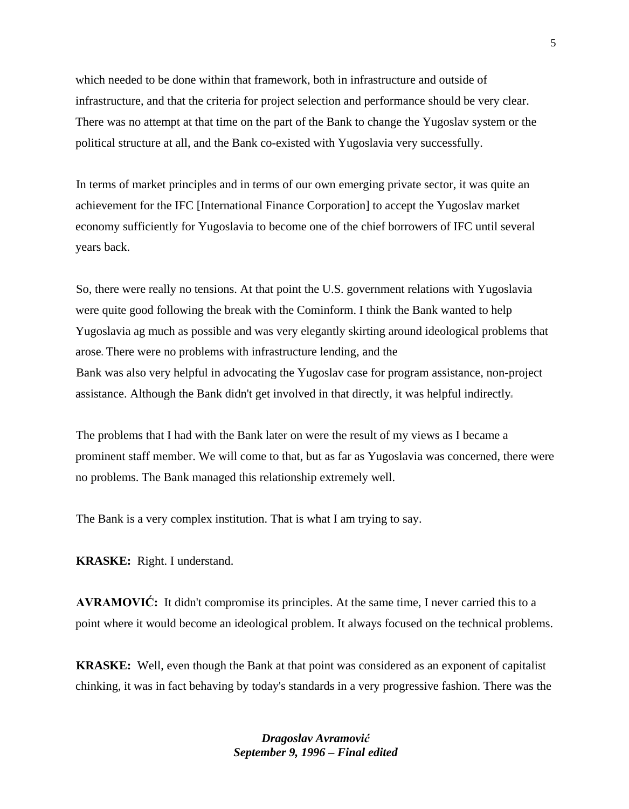which needed to be done within that framework, both in infrastructure and outside of infrastructure, and that the criteria for project selection and performance should be very clear. There was no attempt at that time on the part of the Bank to change the Yugoslav system or the political structure at all, and the Bank co-existed with Yugoslavia very successfully.

In terms of market principles and in terms of our own emerging private sector, it was quite an achievement for the IFC [International Finance Corporation] to accept the Yugoslav market economy sufficiently for Yugoslavia to become one of the chief borrowers of IFC until several years back.

So, there were really no tensions. At that point the U.S. government relations with Yugoslavia were quite good following the break with the Cominform. I think the Bank wanted to help Yugoslavia ag much as possible and was very elegantly skirting around ideological problems that arose There were no problems with infrastructure lending, and the Bank was also very helpful in advocating the Yugoslav case for program assistance, non-project assistance. Although the Bank didn't get involved in that directly, it was helpful indirectly

The problems that I had with the Bank later on were the result of my views as I became a prominent staff member. We will come to that, but as far as Yugoslavia was concerned, there were no problems. The Bank managed this relationship extremely well.

The Bank is a very complex institution. That is what I am trying to say.

**KRASKE:** Right. I understand.

**AVRAMOVIĆ:** It didn't compromise its principles. At the same time, I never carried this to a point where it would become an ideological problem. It always focused on the technical problems.

**KRASKE:** Well, even though the Bank at that point was considered as an exponent of capitalist chinking, it was in fact behaving by today's standards in a very progressive fashion. There was the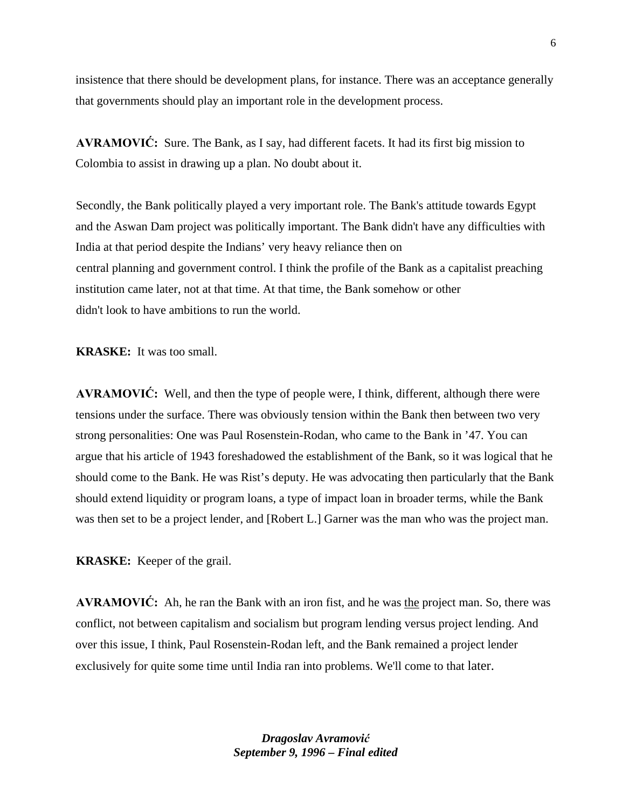insistence that there should be development plans, for instance. There was an acceptance generally that governments should play an important role in the development process.

**AVRAMOVIĆ:** Sure. The Bank, as I say, had different facets. It had its first big mission to Colombia to assist in drawing up a plan. No doubt about it.

Secondly, the Bank politically played a very important role. The Bank's attitude towards Egypt and the Aswan Dam project was politically important. The Bank didn't have any difficulties with India at that period despite the Indians' very heavy reliance then on central planning and government control. I think the profile of the Bank as a capitalist preaching institution came later, not at that time. At that time, the Bank somehow or other didn't look to have ambitions to run the world.

**KRASKE:** It was too small.

**AVRAMOVIĆ:** Well, and then the type of people were, I think, different, although there were tensions under the surface. There was obviously tension within the Bank then between two very strong personalities: One was Paul Rosenstein-Rodan, who came to the Bank in '47. You can argue that his article of 1943 foreshadowed the establishment of the Bank, so it was logical that he should come to the Bank. He was Rist's deputy. He was advocating then particularly that the Bank should extend liquidity or program loans, a type of impact loan in broader terms, while the Bank was then set to be a project lender, and [Robert L.] Garner was the man who was the project man.

**KRASKE:** Keeper of the grail.

**AVRAMOVIĆ:** Ah, he ran the Bank with an iron fist, and he was the project man. So, there was conflict, not between capitalism and socialism but program lending versus project lending. And over this issue, I think, Paul Rosenstein-Rodan left, and the Bank remained a project lender exclusively for quite some time until India ran into problems. We'll come to that later.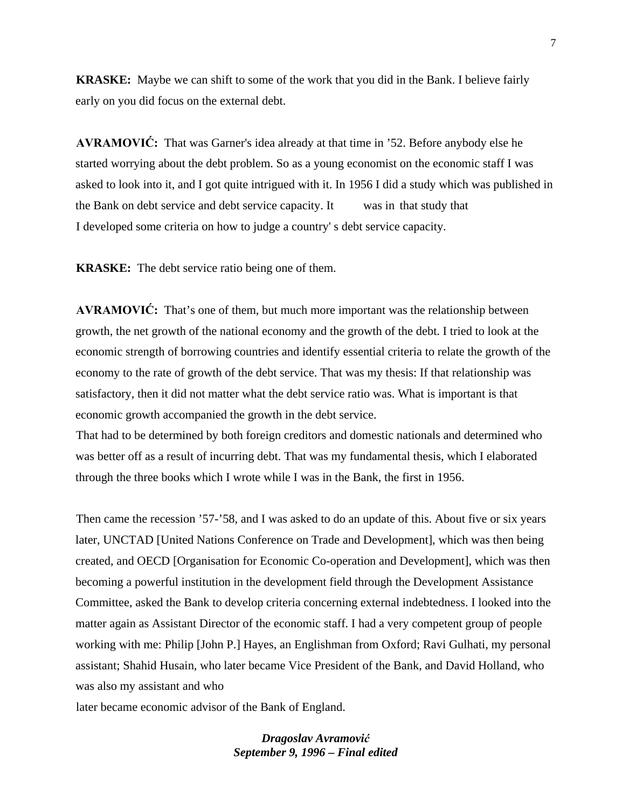**KRASKE:** Maybe we can shift to some of the work that you did in the Bank. I believe fairly early on you did focus on the external debt.

**AVRAMOVIĆ:** That was Garner's idea already at that time in '52. Before anybody else he started worrying about the debt problem. So as a young economist on the economic staff I was asked to look into it, and I got quite intrigued with it. In 1956 I did a study which was published in the Bank on debt service and debt service capacity. It was in that study that I developed some criteria on how to judge a country' s debt service capacity.

**KRASKE:** The debt service ratio being one of them.

**AVRAMOVIĆ:** That's one of them, but much more important was the relationship between growth, the net growth of the national economy and the growth of the debt. I tried to look at the economic strength of borrowing countries and identify essential criteria to relate the growth of the economy to the rate of growth of the debt service. That was my thesis: If that relationship was satisfactory, then it did not matter what the debt service ratio was. What is important is that economic growth accompanied the growth in the debt service.

That had to be determined by both foreign creditors and domestic nationals and determined who was better off as a result of incurring debt. That was my fundamental thesis, which I elaborated through the three books which I wrote while I was in the Bank, the first in 1956.

Then came the recession '57-'58, and I was asked to do an update of this. About five or six years later, UNCTAD [United Nations Conference on Trade and Development], which was then being created, and OECD [Organisation for Economic Co-operation and Development], which was then becoming a powerful institution in the development field through the Development Assistance Committee, asked the Bank to develop criteria concerning external indebtedness. I looked into the matter again as Assistant Director of the economic staff. I had a very competent group of people working with me: Philip [John P.] Hayes, an Englishman from Oxford; Ravi Gulhati, my personal assistant; Shahid Husain, who later became Vice President of the Bank, and David Holland, who was also my assistant and who

later became economic advisor of the Bank of England.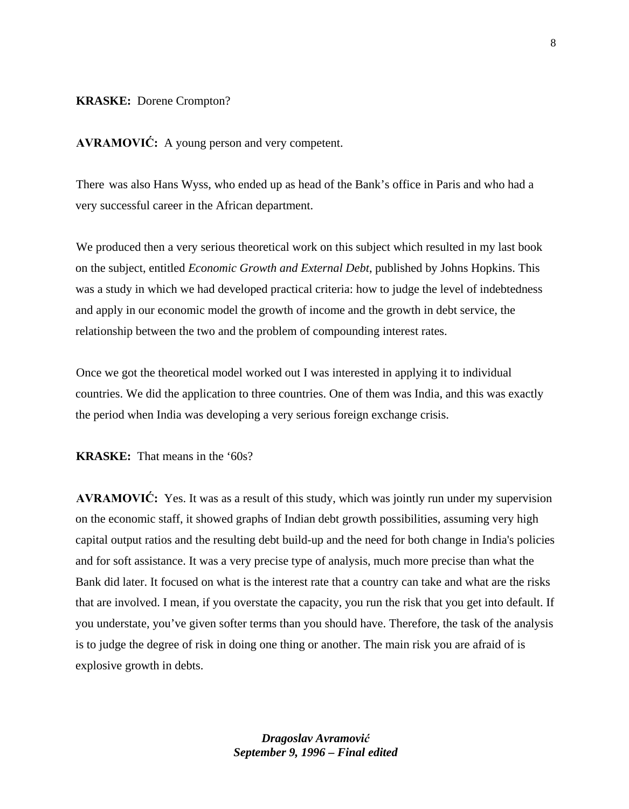#### **KRASKE:** Dorene Crompton?

**AVRAMOVIĆ:** A young person and very competent.

There was also Hans Wyss, who ended up as head of the Bank's office in Paris and who had a very successful career in the African department.

We produced then a very serious theoretical work on this subject which resulted in my last book on the subject, entitled *Economic Growth and External Debt*, published by Johns Hopkins. This was a study in which we had developed practical criteria: how to judge the level of indebtedness and apply in our economic model the growth of income and the growth in debt service, the relationship between the two and the problem of compounding interest rates.

Once we got the theoretical model worked out I was interested in applying it to individual countries. We did the application to three countries. One of them was India, and this was exactly the period when India was developing a very serious foreign exchange crisis.

**KRASKE:** That means in the '60s?

**AVRAMOVIĆ:** Yes. It was as a result of this study, which was jointly run under my supervision on the economic staff, it showed graphs of Indian debt growth possibilities, assuming very high capital output ratios and the resulting debt build-up and the need for both change in India's policies and for soft assistance. It was a very precise type of analysis, much more precise than what the Bank did later. It focused on what is the interest rate that a country can take and what are the risks that are involved. I mean, if you overstate the capacity, you run the risk that you get into default. If you understate, you've given softer terms than you should have. Therefore, the task of the analysis is to judge the degree of risk in doing one thing or another. The main risk you are afraid of is explosive growth in debts.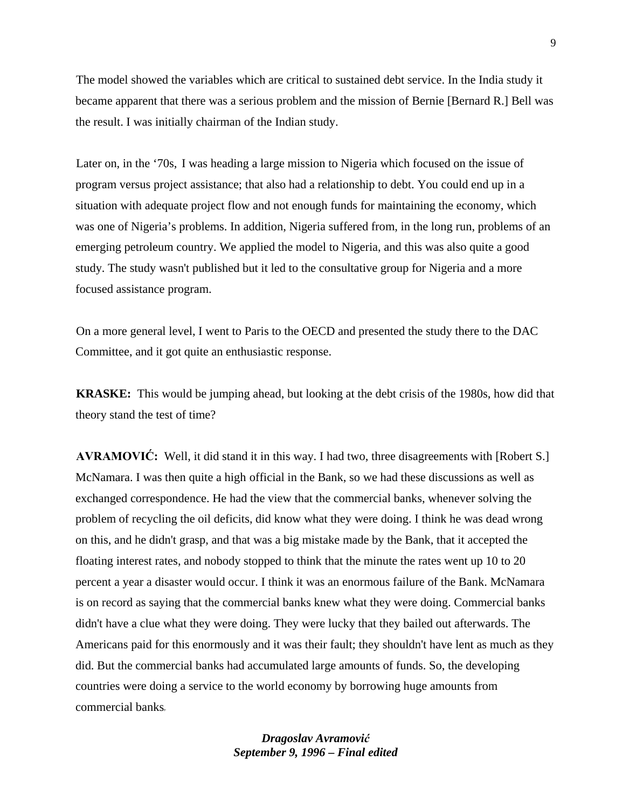The model showed the variables which are critical to sustained debt service. In the India study it became apparent that there was a serious problem and the mission of Bernie [Bernard R.] Bell was the result. I was initially chairman of the Indian study.

Later on, in the '70s, I was heading a large mission to Nigeria which focused on the issue of program versus project assistance; that also had a relationship to debt. You could end up in a situation with adequate project flow and not enough funds for maintaining the economy, which was one of Nigeria's problems. In addition, Nigeria suffered from, in the long run, problems of an emerging petroleum country. We applied the model to Nigeria, and this was also quite a good study. The study wasn't published but it led to the consultative group for Nigeria and a more focused assistance program.

On a more general level, I went to Paris to the OECD and presented the study there to the DAC Committee, and it got quite an enthusiastic response.

**KRASKE:** This would be jumping ahead, but looking at the debt crisis of the 1980s, how did that theory stand the test of time?

**AVRAMOVIĆ:** Well, it did stand it in this way. I had two, three disagreements with [Robert S.] McNamara. I was then quite a high official in the Bank, so we had these discussions as well as exchanged correspondence. He had the view that the commercial banks, whenever solving the problem of recycling the oil deficits, did know what they were doing. I think he was dead wrong on this, and he didn't grasp, and that was a big mistake made by the Bank, that it accepted the floating interest rates, and nobody stopped to think that the minute the rates went up 10 to 20 percent a year a disaster would occur. I think it was an enormous failure of the Bank. McNamara is on record as saying that the commercial banks knew what they were doing. Commercial banks didn't have a clue what they were doing. They were lucky that they bailed out afterwards. The Americans paid for this enormously and it was their fault; they shouldn't have lent as much as they did. But the commercial banks had accumulated large amounts of funds. So, the developing countries were doing a service to the world economy by borrowing huge amounts from commercial banks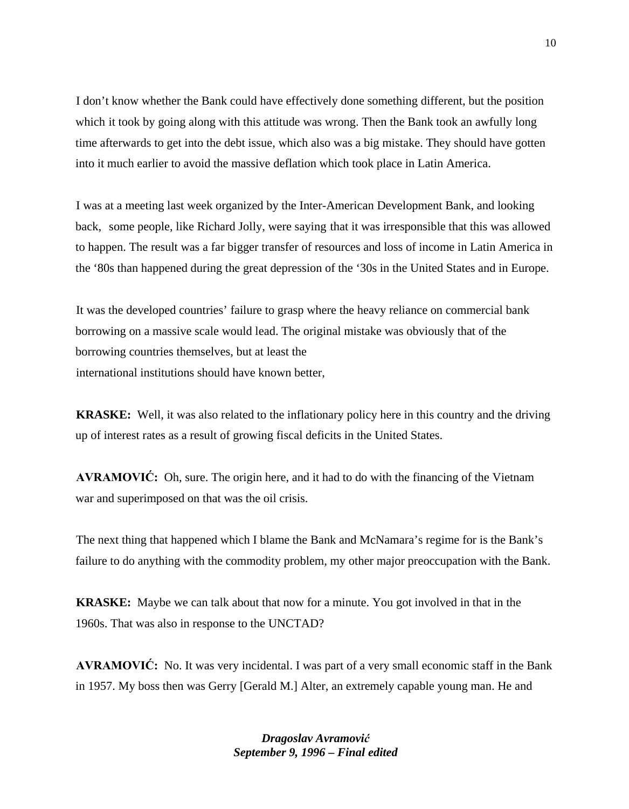I don't know whether the Bank could have effectively done something different, but the position which it took by going along with this attitude was wrong. Then the Bank took an awfully long time afterwards to get into the debt issue, which also was a big mistake. They should have gotten into it much earlier to avoid the massive deflation which took place in Latin America.

I was at a meeting last week organized by the Inter-American Development Bank, and looking back, some people, like Richard Jolly, were saying that it was irresponsible that this was allowed to happen. The result was a far bigger transfer of resources and loss of income in Latin America in the '80s than happened during the great depression of the '30s in the United States and in Europe.

It was the developed countries' failure to grasp where the heavy reliance on commercial bank borrowing on a massive scale would lead. The original mistake was obviously that of the borrowing countries themselves, but at least the international institutions should have known better,

**KRASKE:** Well, it was also related to the inflationary policy here in this country and the driving up of interest rates as a result of growing fiscal deficits in the United States.

**AVRAMOVIĆ:** Oh, sure. The origin here, and it had to do with the financing of the Vietnam war and superimposed on that was the oil crisis.

The next thing that happened which I blame the Bank and McNamara's regime for is the Bank's failure to do anything with the commodity problem, my other major preoccupation with the Bank.

**KRASKE:** Maybe we can talk about that now for a minute. You got involved in that in the 1960s. That was also in response to the UNCTAD?

**AVRAMOVIĆ:** No. It was very incidental. I was part of a very small economic staff in the Bank in 1957. My boss then was Gerry [Gerald M.] Alter, an extremely capable young man. He and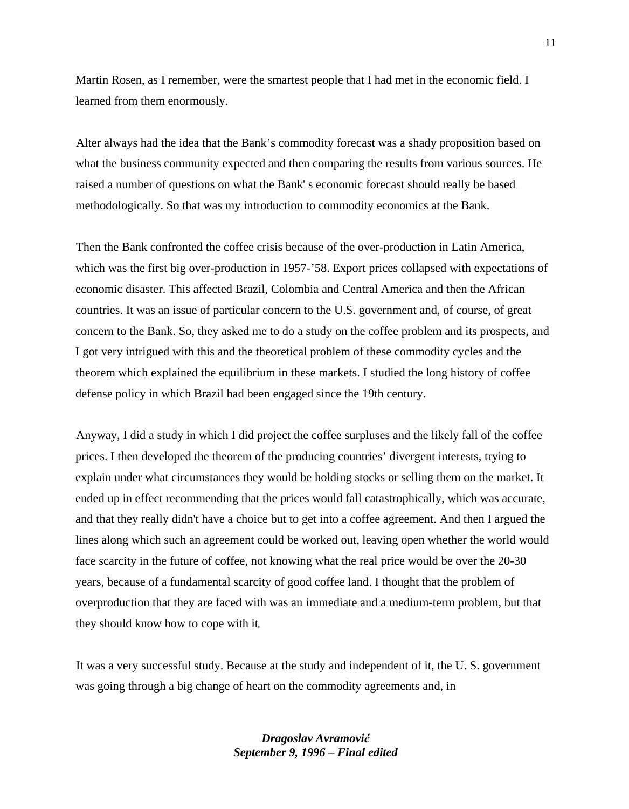Martin Rosen, as I remember, were the smartest people that I had met in the economic field. I learned from them enormously.

Alter always had the idea that the Bank's commodity forecast was a shady proposition based on what the business community expected and then comparing the results from various sources. He raised a number of questions on what the Bank' s economic forecast should really be based methodologically. So that was my introduction to commodity economics at the Bank.

Then the Bank confronted the coffee crisis because of the over-production in Latin America, which was the first big over-production in 1957-'58. Export prices collapsed with expectations of economic disaster. This affected Brazil, Colombia and Central America and then the African countries. It was an issue of particular concern to the U.S. government and, of course, of great concern to the Bank. So, they asked me to do a study on the coffee problem and its prospects, and I got very intrigued with this and the theoretical problem of these commodity cycles and the theorem which explained the equilibrium in these markets. I studied the long history of coffee defense policy in which Brazil had been engaged since the 19th century.

Anyway, I did a study in which I did project the coffee surpluses and the likely fall of the coffee prices. I then developed the theorem of the producing countries' divergent interests, trying to explain under what circumstances they would be holding stocks or selling them on the market. It ended up in effect recommending that the prices would fall catastrophically, which was accurate, and that they really didn't have a choice but to get into a coffee agreement. And then I argued the lines along which such an agreement could be worked out, leaving open whether the world would face scarcity in the future of coffee, not knowing what the real price would be over the 20-30 years, because of a fundamental scarcity of good coffee land. I thought that the problem of overproduction that they are faced with was an immediate and a medium-term problem, but that they should know how to cope with it

It was a very successful study. Because at the study and independent of it, the U. S. government was going through a big change of heart on the commodity agreements and, in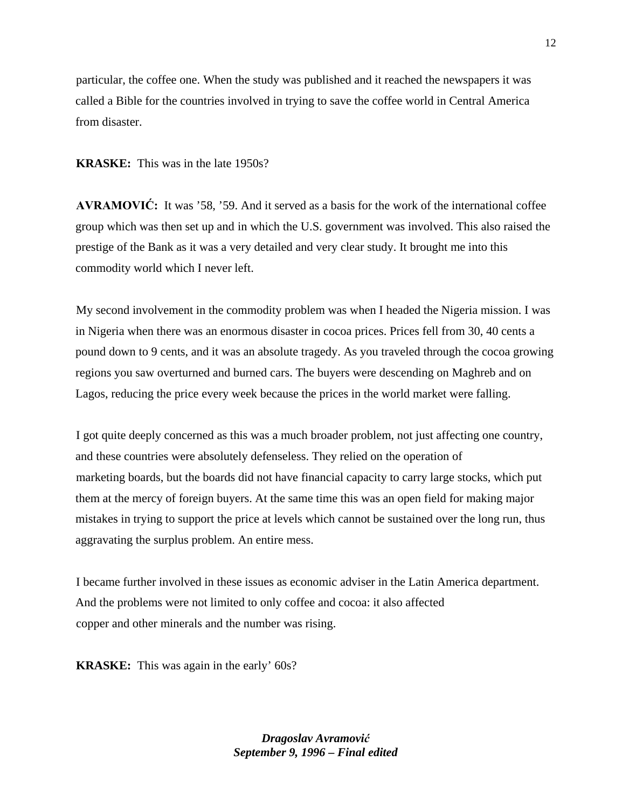particular, the coffee one. When the study was published and it reached the newspapers it was called a Bible for the countries involved in trying to save the coffee world in Central America from disaster.

### **KRASKE:** This was in the late 1950s?

**AVRAMOVIĆ:** It was '58, '59. And it served as a basis for the work of the international coffee group which was then set up and in which the U.S. government was involved. This also raised the prestige of the Bank as it was a very detailed and very clear study. It brought me into this commodity world which I never left.

My second involvement in the commodity problem was when I headed the Nigeria mission. I was in Nigeria when there was an enormous disaster in cocoa prices. Prices fell from 30, 40 cents a pound down to 9 cents, and it was an absolute tragedy. As you traveled through the cocoa growing regions you saw overturned and burned cars. The buyers were descending on Maghreb and on Lagos, reducing the price every week because the prices in the world market were falling.

I got quite deeply concerned as this was a much broader problem, not just affecting one country, and these countries were absolutely defenseless. They relied on the operation of marketing boards, but the boards did not have financial capacity to carry large stocks, which put them at the mercy of foreign buyers. At the same time this was an open field for making major mistakes in trying to support the price at levels which cannot be sustained over the long run, thus aggravating the surplus problem. An entire mess.

I became further involved in these issues as economic adviser in the Latin America department. And the problems were not limited to only coffee and cocoa: it also affected copper and other minerals and the number was rising.

**KRASKE:** This was again in the early' 60s?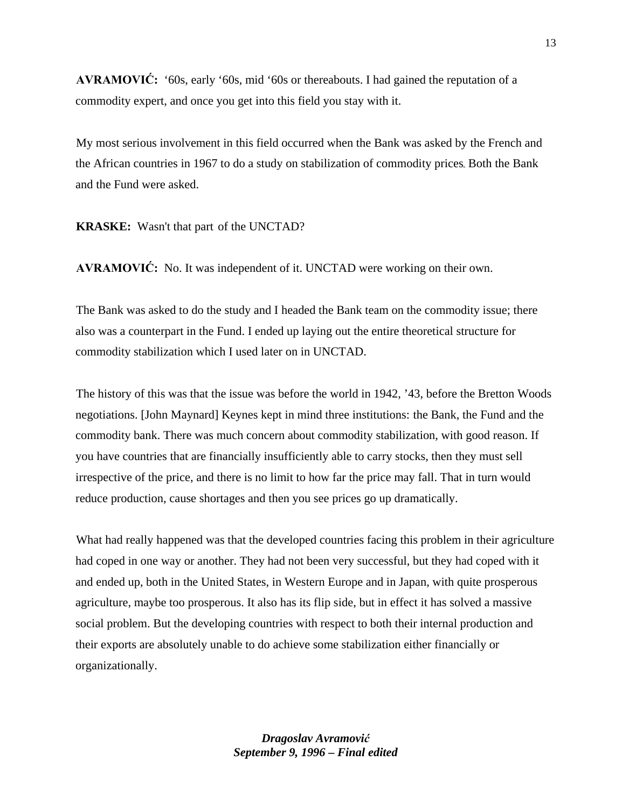**AVRAMOVIĆ:** '60s, early '60s, mid '60s or thereabouts. I had gained the reputation of a commodity expert, and once you get into this field you stay with it.

My most serious involvement in this field occurred when the Bank was asked by the French and the African countries in 1967 to do a study on stabilization of commodity prices Both the Bank and the Fund were asked.

**KRASKE:** Wasn't that part of the UNCTAD?

**AVRAMOVIĆ:** No. It was independent of it. UNCTAD were working on their own.

The Bank was asked to do the study and I headed the Bank team on the commodity issue; there also was a counterpart in the Fund. I ended up laying out the entire theoretical structure for commodity stabilization which I used later on in UNCTAD.

The history of this was that the issue was before the world in 1942, '43, before the Bretton Woods negotiations. [John Maynard] Keynes kept in mind three institutions: the Bank, the Fund and the commodity bank. There was much concern about commodity stabilization, with good reason. If you have countries that are financially insufficiently able to carry stocks, then they must sell irrespective of the price, and there is no limit to how far the price may fall. That in turn would reduce production, cause shortages and then you see prices go up dramatically.

What had really happened was that the developed countries facing this problem in their agriculture had coped in one way or another. They had not been very successful, but they had coped with it and ended up, both in the United States, in Western Europe and in Japan, with quite prosperous agriculture, maybe too prosperous. It also has its flip side, but in effect it has solved a massive social problem. But the developing countries with respect to both their internal production and their exports are absolutely unable to do achieve some stabilization either financially or organizationally.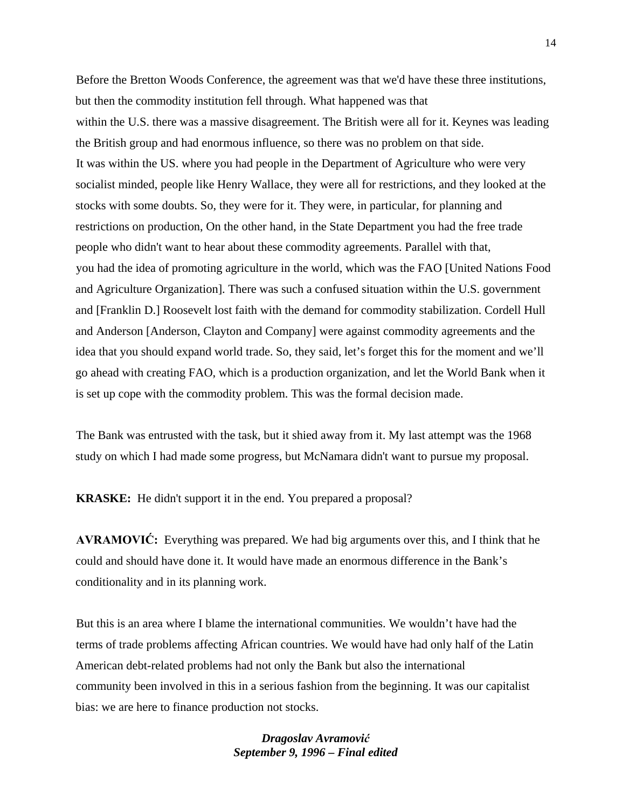Before the Bretton Woods Conference, the agreement was that we'd have these three institutions, but then the commodity institution fell through. What happened was that within the U.S. there was a massive disagreement. The British were all for it. Keynes was leading the British group and had enormous influence, so there was no problem on that side. It was within the US. where you had people in the Department of Agriculture who were very socialist minded, people like Henry Wallace, they were all for restrictions, and they looked at the stocks with some doubts. So, they were for it. They were, in particular, for planning and restrictions on production, On the other hand, in the State Department you had the free trade people who didn't want to hear about these commodity agreements. Parallel with that, you had the idea of promoting agriculture in the world, which was the FAO [United Nations Food and Agriculture Organization]. There was such a confused situation within the U.S. government and [Franklin D.] Roosevelt lost faith with the demand for commodity stabilization. Cordell Hull and Anderson [Anderson, Clayton and Company] were against commodity agreements and the idea that you should expand world trade. So, they said, let's forget this for the moment and we'll go ahead with creating FAO, which is a production organization, and let the World Bank when it is set up cope with the commodity problem. This was the formal decision made.

The Bank was entrusted with the task, but it shied away from it. My last attempt was the 1968 study on which I had made some progress, but McNamara didn't want to pursue my proposal.

**KRASKE:** He didn't support it in the end. You prepared a proposal?

**AVRAMOVIĆ:** Everything was prepared. We had big arguments over this, and I think that he could and should have done it. It would have made an enormous difference in the Bank's conditionality and in its planning work.

But this is an area where I blame the international communities. We wouldn't have had the terms of trade problems affecting African countries. We would have had only half of the Latin American debt-related problems had not only the Bank but also the international community been involved in this in a serious fashion from the beginning. It was our capitalist bias: we are here to finance production not stocks.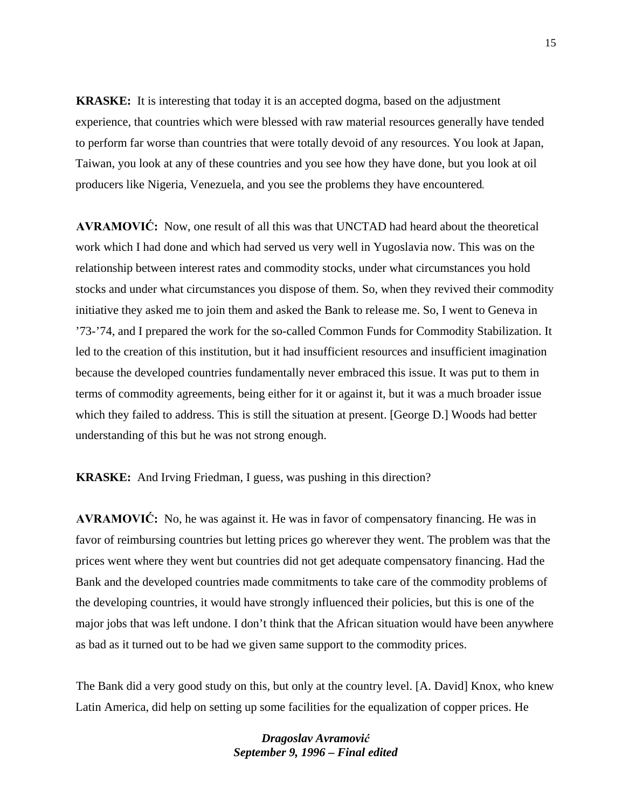**KRASKE:** It is interesting that today it is an accepted dogma, based on the adjustment experience, that countries which were blessed with raw material resources generally have tended to perform far worse than countries that were totally devoid of any resources. You look at Japan, Taiwan, you look at any of these countries and you see how they have done, but you look at oil producers like Nigeria, Venezuela, and you see the problems they have encountered

**AVRAMOVIĆ:** Now, one result of all this was that UNCTAD had heard about the theoretical work which I had done and which had served us very well in Yugoslavia now. This was on the relationship between interest rates and commodity stocks, under what circumstances you hold stocks and under what circumstances you dispose of them. So, when they revived their commodity initiative they asked me to join them and asked the Bank to release me. So, I went to Geneva in '73-'74, and I prepared the work for the so-called Common Funds for Commodity Stabilization. It led to the creation of this institution, but it had insufficient resources and insufficient imagination because the developed countries fundamentally never embraced this issue. It was put to them in terms of commodity agreements, being either for it or against it, but it was a much broader issue which they failed to address. This is still the situation at present. [George D.] Woods had better understanding of this but he was not strong enough.

**KRASKE:** And Irving Friedman, I guess, was pushing in this direction?

**AVRAMOVIĆ:** No, he was against it. He was in favor of compensatory financing. He was in favor of reimbursing countries but letting prices go wherever they went. The problem was that the prices went where they went but countries did not get adequate compensatory financing. Had the Bank and the developed countries made commitments to take care of the commodity problems of the developing countries, it would have strongly influenced their policies, but this is one of the major jobs that was left undone. I don't think that the African situation would have been anywhere as bad as it turned out to be had we given same support to the commodity prices.

The Bank did a very good study on this, but only at the country level. [A. David] Knox, who knew Latin America, did help on setting up some facilities for the equalization of copper prices. He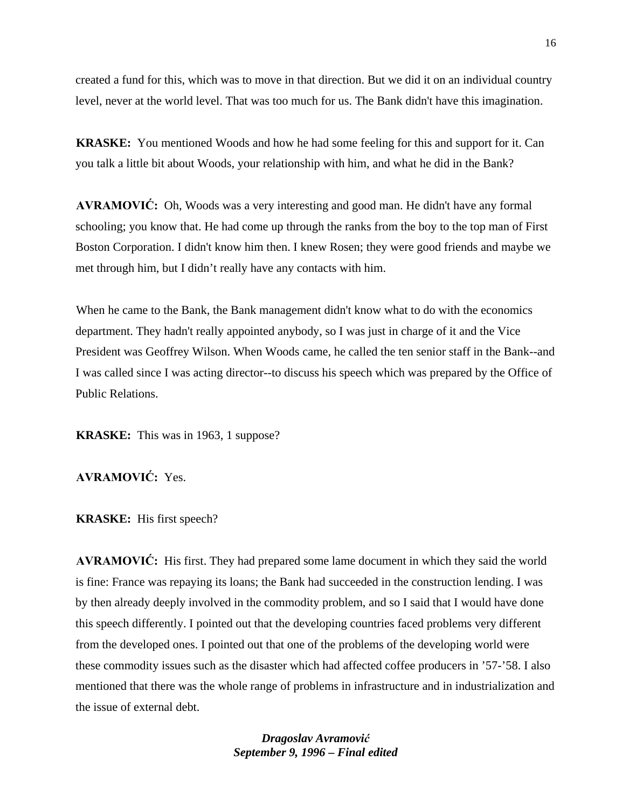created a fund for this, which was to move in that direction. But we did it on an individual country level, never at the world level. That was too much for us. The Bank didn't have this imagination.

**KRASKE:** You mentioned Woods and how he had some feeling for this and support for it. Can you talk a little bit about Woods, your relationship with him, and what he did in the Bank?

**AVRAMOVIĆ:** Oh, Woods was a very interesting and good man. He didn't have any formal schooling; you know that. He had come up through the ranks from the boy to the top man of First Boston Corporation. I didn't know him then. I knew Rosen; they were good friends and maybe we met through him, but I didn't really have any contacts with him.

When he came to the Bank, the Bank management didn't know what to do with the economics department. They hadn't really appointed anybody, so I was just in charge of it and the Vice President was Geoffrey Wilson. When Woods came, he called the ten senior staff in the Bank--and I was called since I was acting director--to discuss his speech which was prepared by the Office of Public Relations.

**KRASKE:** This was in 1963, 1 suppose?

**AVRAMOVIĆ:** Yes.

**KRASKE:** His first speech?

**AVRAMOVIĆ:** His first. They had prepared some lame document in which they said the world is fine: France was repaying its loans; the Bank had succeeded in the construction lending. I was by then already deeply involved in the commodity problem, and so I said that I would have done this speech differently. I pointed out that the developing countries faced problems very different from the developed ones. I pointed out that one of the problems of the developing world were these commodity issues such as the disaster which had affected coffee producers in '57-'58. I also mentioned that there was the whole range of problems in infrastructure and in industrialization and the issue of external debt.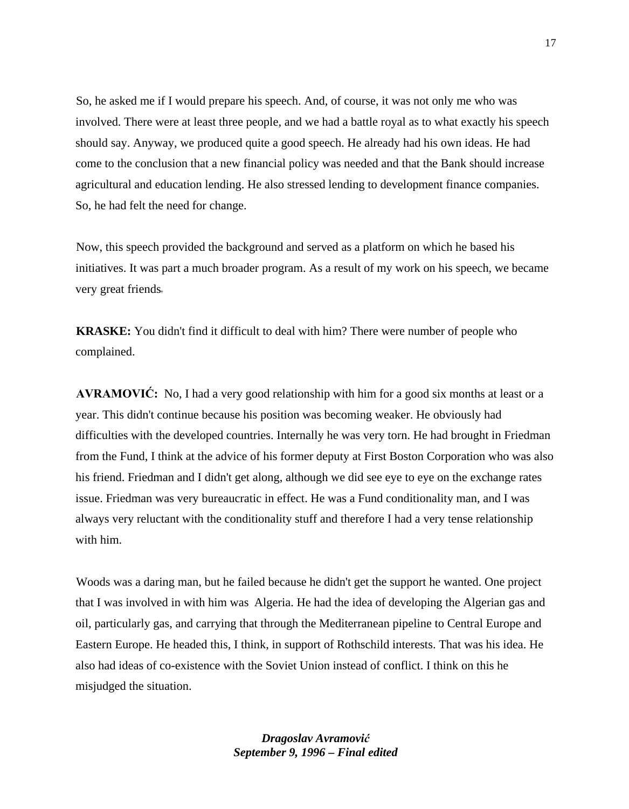So, he asked me if I would prepare his speech. And, of course, it was not only me who was involved. There were at least three people, and we had a battle royal as to what exactly his speech should say. Anyway, we produced quite a good speech. He already had his own ideas. He had come to the conclusion that a new financial policy was needed and that the Bank should increase agricultural and education lending. He also stressed lending to development finance companies. So, he had felt the need for change.

Now, this speech provided the background and served as a platform on which he based his initiatives. It was part a much broader program. As a result of my work on his speech, we became very great friends

**KRASKE:** You didn't find it difficult to deal with him? There were number of people who complained.

**AVRAMOVIĆ:** No, I had a very good relationship with him for a good six months at least or a year. This didn't continue because his position was becoming weaker. He obviously had difficulties with the developed countries. Internally he was very torn. He had brought in Friedman from the Fund, I think at the advice of his former deputy at First Boston Corporation who was also his friend. Friedman and I didn't get along, although we did see eye to eye on the exchange rates issue. Friedman was very bureaucratic in effect. He was a Fund conditionality man, and I was always very reluctant with the conditionality stuff and therefore I had a very tense relationship with him.

Woods was a daring man, but he failed because he didn't get the support he wanted. One project that I was involved in with him was Algeria. He had the idea of developing the Algerian gas and oil, particularly gas, and carrying that through the Mediterranean pipeline to Central Europe and Eastern Europe. He headed this, I think, in support of Rothschild interests. That was his idea. He also had ideas of co-existence with the Soviet Union instead of conflict. I think on this he misjudged the situation.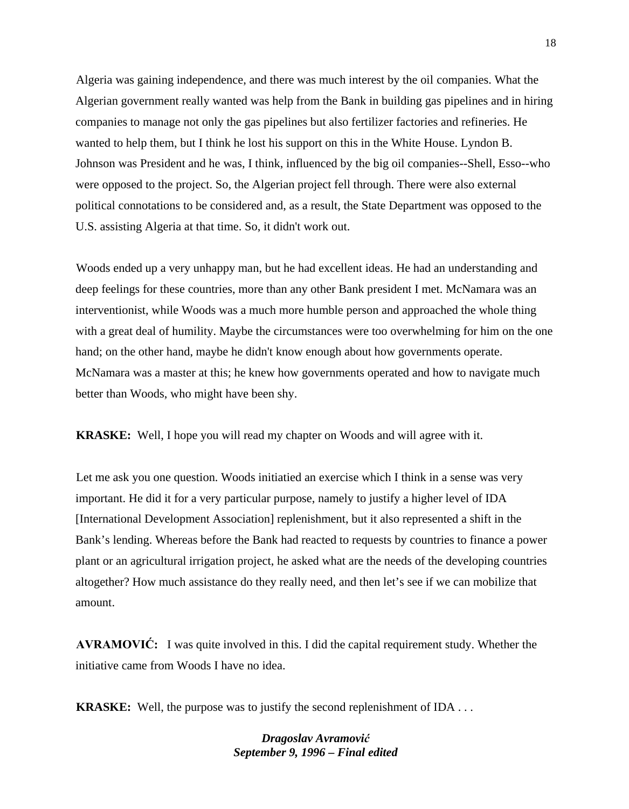Algeria was gaining independence, and there was much interest by the oil companies. What the Algerian government really wanted was help from the Bank in building gas pipelines and in hiring companies to manage not only the gas pipelines but also fertilizer factories and refineries. He wanted to help them, but I think he lost his support on this in the White House. Lyndon B. Johnson was President and he was, I think, influenced by the big oil companies--Shell, Esso--who were opposed to the project. So, the Algerian project fell through. There were also external political connotations to be considered and, as a result, the State Department was opposed to the U.S. assisting Algeria at that time. So, it didn't work out.

Woods ended up a very unhappy man, but he had excellent ideas. He had an understanding and deep feelings for these countries, more than any other Bank president I met. McNamara was an interventionist, while Woods was a much more humble person and approached the whole thing with a great deal of humility. Maybe the circumstances were too overwhelming for him on the one hand; on the other hand, maybe he didn't know enough about how governments operate. McNamara was a master at this; he knew how governments operated and how to navigate much better than Woods, who might have been shy.

**KRASKE:** Well, I hope you will read my chapter on Woods and will agree with it.

Let me ask you one question. Woods initiatied an exercise which I think in a sense was very important. He did it for a very particular purpose, namely to justify a higher level of IDA [International Development Association] replenishment, but it also represented a shift in the Bank's lending. Whereas before the Bank had reacted to requests by countries to finance a power plant or an agricultural irrigation project, he asked what are the needs of the developing countries altogether? How much assistance do they really need, and then let's see if we can mobilize that amount.

**AVRAMOVIĆ:** I was quite involved in this. I did the capital requirement study. Whether the initiative came from Woods I have no idea.

**KRASKE:** Well, the purpose was to justify the second replenishment of IDA . . .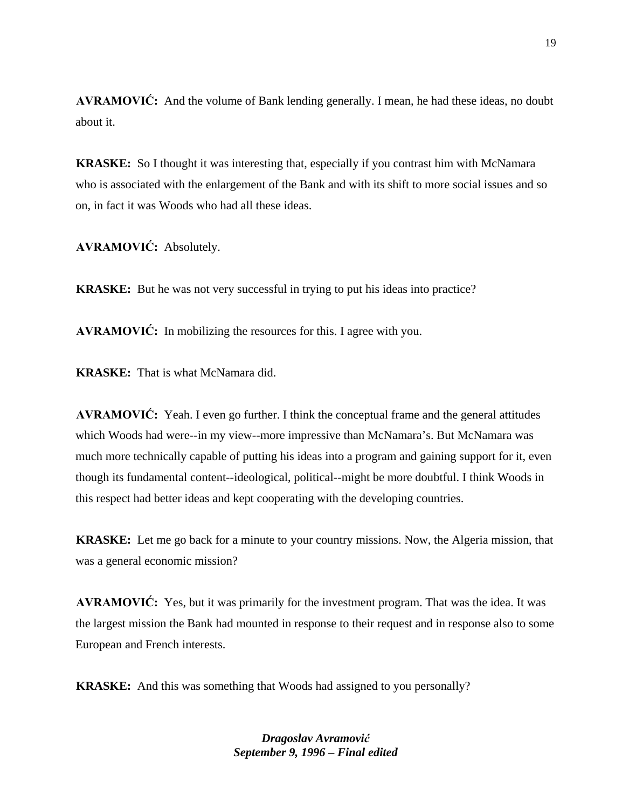**AVRAMOVIĆ:** And the volume of Bank lending generally. I mean, he had these ideas, no doubt about it.

**KRASKE:** So I thought it was interesting that, especially if you contrast him with McNamara who is associated with the enlargement of the Bank and with its shift to more social issues and so on, in fact it was Woods who had all these ideas.

**AVRAMOVIĆ:** Absolutely.

**KRASKE:** But he was not very successful in trying to put his ideas into practice?

**AVRAMOVIĆ:** In mobilizing the resources for this. I agree with you.

**KRASKE:** That is what McNamara did.

**AVRAMOVIĆ:** Yeah. I even go further. I think the conceptual frame and the general attitudes which Woods had were--in my view--more impressive than McNamara's. But McNamara was much more technically capable of putting his ideas into a program and gaining support for it, even though its fundamental content--ideological, political--might be more doubtful. I think Woods in this respect had better ideas and kept cooperating with the developing countries.

**KRASKE:** Let me go back for a minute to your country missions. Now, the Algeria mission, that was a general economic mission?

**AVRAMOVIĆ:** Yes, but it was primarily for the investment program. That was the idea. It was the largest mission the Bank had mounted in response to their request and in response also to some European and French interests.

**KRASKE:** And this was something that Woods had assigned to you personally?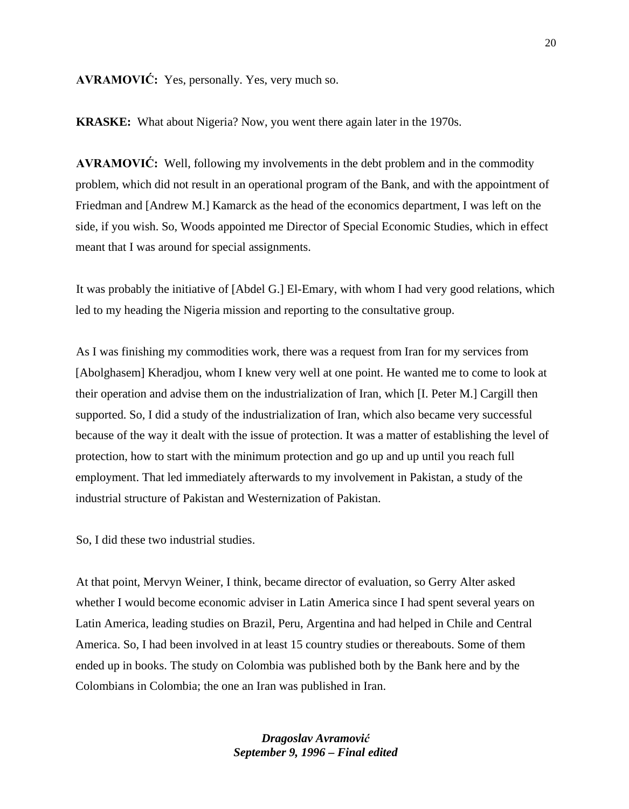## **AVRAMOVIĆ:** Yes, personally. Yes, very much so.

**KRASKE:** What about Nigeria? Now, you went there again later in the 1970s.

**AVRAMOVIĆ:** Well, following my involvements in the debt problem and in the commodity problem, which did not result in an operational program of the Bank, and with the appointment of Friedman and [Andrew M.] Kamarck as the head of the economics department, I was left on the side, if you wish. So, Woods appointed me Director of Special Economic Studies, which in effect meant that I was around for special assignments.

It was probably the initiative of [Abdel G.] El-Emary, with whom I had very good relations, which led to my heading the Nigeria mission and reporting to the consultative group.

As I was finishing my commodities work, there was a request from Iran for my services from [Abolghasem] Kheradjou, whom I knew very well at one point. He wanted me to come to look at their operation and advise them on the industrialization of Iran, which [I. Peter M.] Cargill then supported. So, I did a study of the industrialization of Iran, which also became very successful because of the way it dealt with the issue of protection. It was a matter of establishing the level of protection, how to start with the minimum protection and go up and up until you reach full employment. That led immediately afterwards to my involvement in Pakistan, a study of the industrial structure of Pakistan and Westernization of Pakistan.

So, I did these two industrial studies.

At that point, Mervyn Weiner, I think, became director of evaluation, so Gerry Alter asked whether I would become economic adviser in Latin America since I had spent several years on Latin America, leading studies on Brazil, Peru, Argentina and had helped in Chile and Central America. So, I had been involved in at least 15 country studies or thereabouts. Some of them ended up in books. The study on Colombia was published both by the Bank here and by the Colombians in Colombia; the one an Iran was published in Iran.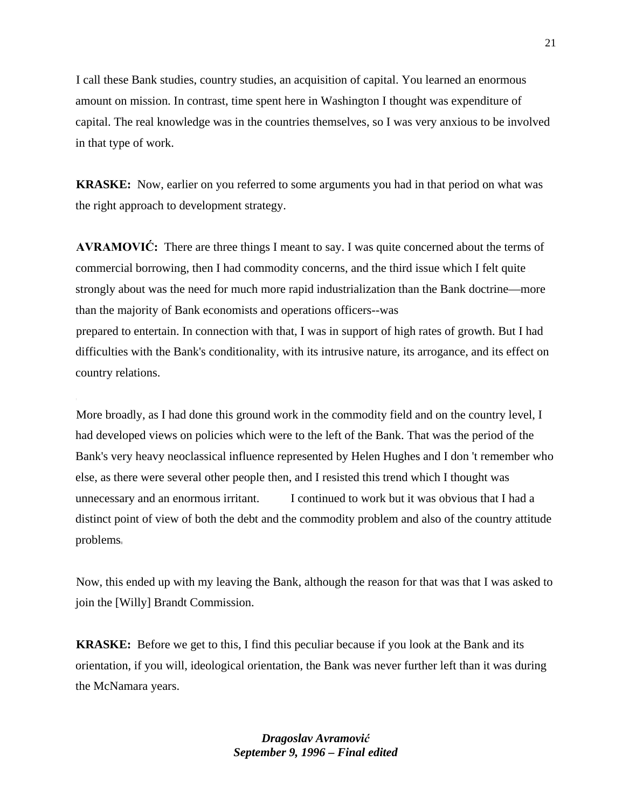I call these Bank studies, country studies, an acquisition of capital. You learned an enormous amount on mission. In contrast, time spent here in Washington I thought was expenditure of capital. The real knowledge was in the countries themselves, so I was very anxious to be involved in that type of work.

**KRASKE:** Now, earlier on you referred to some arguments you had in that period on what was the right approach to development strategy.

**AVRAMOVIĆ:** There are three things I meant to say. I was quite concerned about the terms of commercial borrowing, then I had commodity concerns, and the third issue which I felt quite strongly about was the need for much more rapid industrialization than the Bank doctrine—more than the majority of Bank economists and operations officers--was prepared to entertain. In connection with that, I was in support of high rates of growth. But I had difficulties with the Bank's conditionality, with its intrusive nature, its arrogance, and its effect on country relations.

More broadly, as I had done this ground work in the commodity field and on the country level, I had developed views on policies which were to the left of the Bank. That was the period of the Bank's very heavy neoclassical influence represented by Helen Hughes and I don 't remember who else, as there were several other people then, and I resisted this trend which I thought was unnecessary and an enormous irritant. I continued to work but it was obvious that I had a distinct point of view of both the debt and the commodity problem and also of the country attitude problems

Now, this ended up with my leaving the Bank, although the reason for that was that I was asked to join the [Willy] Brandt Commission.

**KRASKE:** Before we get to this, I find this peculiar because if you look at the Bank and its orientation, if you will, ideological orientation, the Bank was never further left than it was during the McNamara years.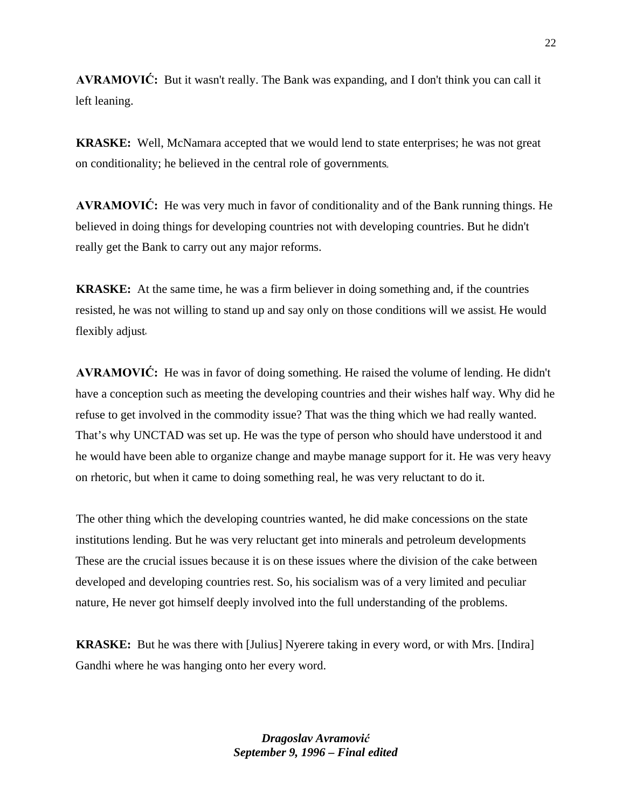**AVRAMOVIĆ:** But it wasn't really. The Bank was expanding, and I don't think you can call it left leaning.

**KRASKE:** Well, McNamara accepted that we would lend to state enterprises; he was not great on conditionality; he believed in the central role of governments

**AVRAMOVIĆ:** He was very much in favor of conditionality and of the Bank running things. He believed in doing things for developing countries not with developing countries. But he didn't really get the Bank to carry out any major reforms.

**KRASKE:** At the same time, he was a firm believer in doing something and, if the countries resisted, he was not willing to stand up and say only on those conditions will we assist He would flexibly adjust

**AVRAMOVIĆ:** He was in favor of doing something. He raised the volume of lending. He didn't have a conception such as meeting the developing countries and their wishes half way. Why did he refuse to get involved in the commodity issue? That was the thing which we had really wanted. That's why UNCTAD was set up. He was the type of person who should have understood it and he would have been able to organize change and maybe manage support for it. He was very heavy on rhetoric, but when it came to doing something real, he was very reluctant to do it.

The other thing which the developing countries wanted, he did make concessions on the state institutions lending. But he was very reluctant get into minerals and petroleum developments These are the crucial issues because it is on these issues where the division of the cake between developed and developing countries rest. So, his socialism was of a very limited and peculiar nature, He never got himself deeply involved into the full understanding of the problems.

**KRASKE:** But he was there with [Julius] Nyerere taking in every word, or with Mrs. [Indira] Gandhi where he was hanging onto her every word.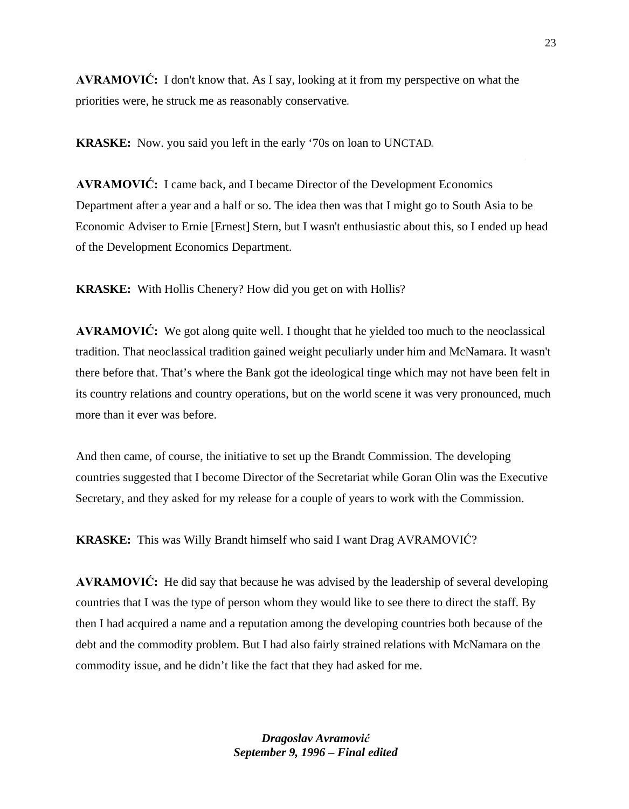**AVRAMOVIĆ:** I don't know that. As I say, looking at it from my perspective on what the priorities were, he struck me as reasonably conservative

**KRASKE:** Now. you said you left in the early '70s on loan to UNCTAD

**AVRAMOVIĆ:** I came back, and I became Director of the Development Economics Department after a year and a half or so. The idea then was that I might go to South Asia to be Economic Adviser to Ernie [Ernest] Stern, but I wasn't enthusiastic about this, so I ended up head of the Development Economics Department.

**KRASKE:** With Hollis Chenery? How did you get on with Hollis?

**AVRAMOVIĆ:** We got along quite well. I thought that he yielded too much to the neoclassical tradition. That neoclassical tradition gained weight peculiarly under him and McNamara. It wasn't there before that. That's where the Bank got the ideological tinge which may not have been felt in its country relations and country operations, but on the world scene it was very pronounced, much more than it ever was before.

And then came, of course, the initiative to set up the Brandt Commission. The developing countries suggested that I become Director of the Secretariat while Goran Olin was the Executive Secretary, and they asked for my release for a couple of years to work with the Commission.

**KRASKE:** This was Willy Brandt himself who said I want Drag AVRAMOVIĆ?

**AVRAMOVIĆ:** He did say that because he was advised by the leadership of several developing countries that I was the type of person whom they would like to see there to direct the staff. By then I had acquired a name and a reputation among the developing countries both because of the debt and the commodity problem. But I had also fairly strained relations with McNamara on the commodity issue, and he didn't like the fact that they had asked for me.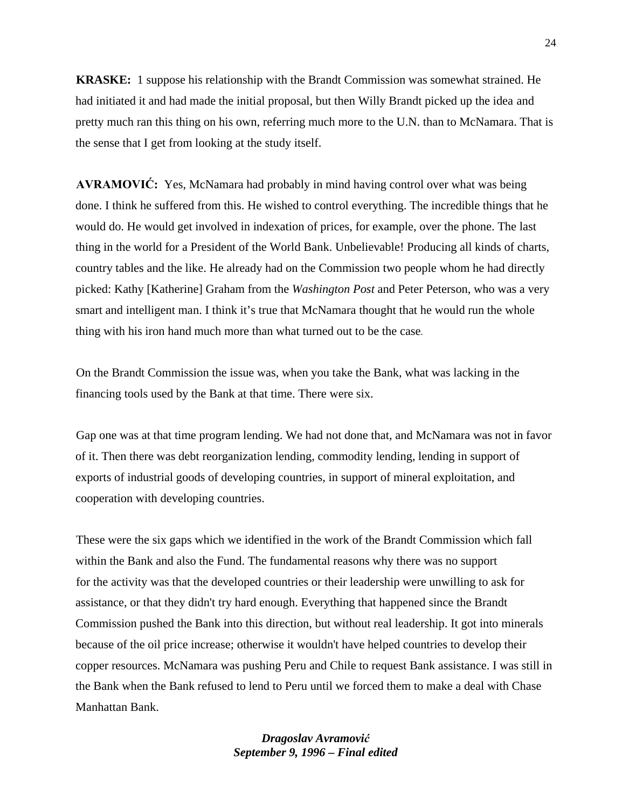**KRASKE:** 1 suppose his relationship with the Brandt Commission was somewhat strained. He had initiated it and had made the initial proposal, but then Willy Brandt picked up the idea and pretty much ran this thing on his own, referring much more to the U.N. than to McNamara. That is the sense that I get from looking at the study itself.

**AVRAMOVIĆ:** Yes, McNamara had probably in mind having control over what was being done. I think he suffered from this. He wished to control everything. The incredible things that he would do. He would get involved in indexation of prices, for example, over the phone. The last thing in the world for a President of the World Bank. Unbelievable! Producing all kinds of charts, country tables and the like. He already had on the Commission two people whom he had directly picked: Kathy [Katherine] Graham from the *Washington Post* and Peter Peterson, who was a very smart and intelligent man. I think it's true that McNamara thought that he would run the whole thing with his iron hand much more than what turned out to be the case

On the Brandt Commission the issue was, when you take the Bank, what was lacking in the financing tools used by the Bank at that time. There were six.

Gap one was at that time program lending. We had not done that, and McNamara was not in favor of it. Then there was debt reorganization lending, commodity lending, lending in support of exports of industrial goods of developing countries, in support of mineral exploitation, and cooperation with developing countries.

These were the six gaps which we identified in the work of the Brandt Commission which fall within the Bank and also the Fund. The fundamental reasons why there was no support for the activity was that the developed countries or their leadership were unwilling to ask for assistance, or that they didn't try hard enough. Everything that happened since the Brandt Commission pushed the Bank into this direction, but without real leadership. It got into minerals because of the oil price increase; otherwise it wouldn't have helped countries to develop their copper resources. McNamara was pushing Peru and Chile to request Bank assistance. I was still in the Bank when the Bank refused to lend to Peru until we forced them to make a deal with Chase Manhattan Bank.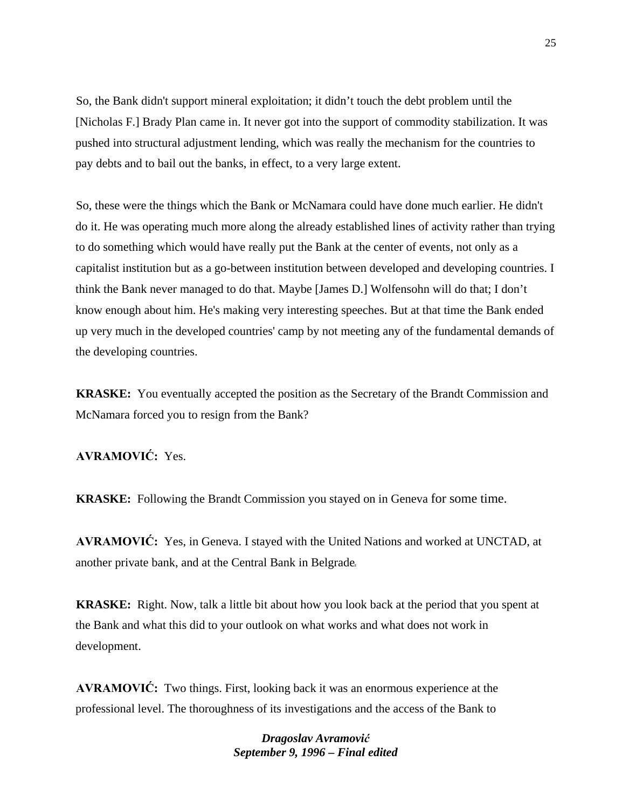So, the Bank didn't support mineral exploitation; it didn't touch the debt problem until the [Nicholas F.] Brady Plan came in. It never got into the support of commodity stabilization. It was pushed into structural adjustment lending, which was really the mechanism for the countries to pay debts and to bail out the banks, in effect, to a very large extent.

So, these were the things which the Bank or McNamara could have done much earlier. He didn't do it. He was operating much more along the already established lines of activity rather than trying to do something which would have really put the Bank at the center of events, not only as a capitalist institution but as a go-between institution between developed and developing countries. I think the Bank never managed to do that. Maybe [James D.] Wolfensohn will do that; I don't know enough about him. He's making very interesting speeches. But at that time the Bank ended up very much in the developed countries' camp by not meeting any of the fundamental demands of the developing countries.

**KRASKE:** You eventually accepted the position as the Secretary of the Brandt Commission and McNamara forced you to resign from the Bank?

**AVRAMOVIĆ:** Yes.

**KRASKE:** Following the Brandt Commission you stayed on in Geneva for some time.

**AVRAMOVIĆ:** Yes, in Geneva. I stayed with the United Nations and worked at UNCTAD, at another private bank, and at the Central Bank in Belgrade

**KRASKE:** Right. Now, talk a little bit about how you look back at the period that you spent at the Bank and what this did to your outlook on what works and what does not work in development.

**AVRAMOVIĆ:** Two things. First, looking back it was an enormous experience at the professional level. The thoroughness of its investigations and the access of the Bank to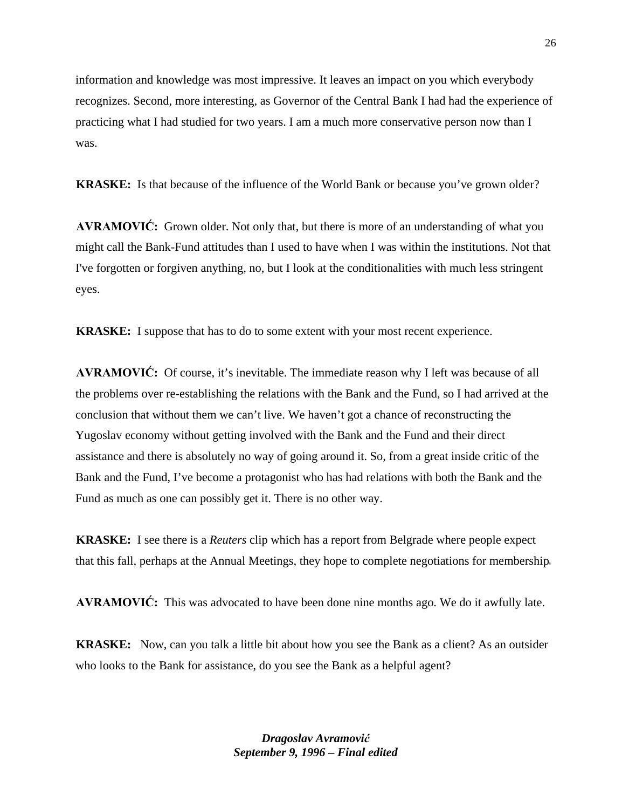information and knowledge was most impressive. It leaves an impact on you which everybody recognizes. Second, more interesting, as Governor of the Central Bank I had had the experience of practicing what I had studied for two years. I am a much more conservative person now than I was.

**KRASKE:** Is that because of the influence of the World Bank or because you've grown older?

**AVRAMOVIĆ:** Grown older. Not only that, but there is more of an understanding of what you might call the Bank-Fund attitudes than I used to have when I was within the institutions. Not that I've forgotten or forgiven anything, no, but I look at the conditionalities with much less stringent eyes.

**KRASKE:** I suppose that has to do to some extent with your most recent experience.

**AVRAMOVIĆ:** Of course, it's inevitable. The immediate reason why I left was because of all the problems over re-establishing the relations with the Bank and the Fund, so I had arrived at the conclusion that without them we can't live. We haven't got a chance of reconstructing the Yugoslav economy without getting involved with the Bank and the Fund and their direct assistance and there is absolutely no way of going around it. So, from a great inside critic of the Bank and the Fund, I've become a protagonist who has had relations with both the Bank and the Fund as much as one can possibly get it. There is no other way.

**KRASKE:** I see there is a *Reuters* clip which has a report from Belgrade where people expect that this fall, perhaps at the Annual Meetings, they hope to complete negotiations for membership

**AVRAMOVIĆ:** This was advocated to have been done nine months ago. We do it awfully late.

**KRASKE:** Now, can you talk a little bit about how you see the Bank as a client? As an outsider who looks to the Bank for assistance, do you see the Bank as a helpful agent?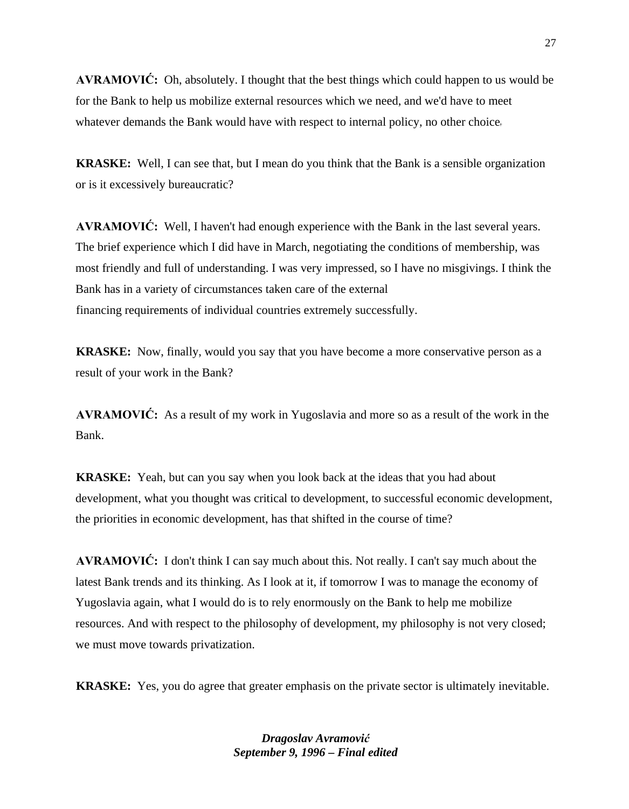**AVRAMOVIĆ:** Oh, absolutely. I thought that the best things which could happen to us would be for the Bank to help us mobilize external resources which we need, and we'd have to meet whatever demands the Bank would have with respect to internal policy, no other choice

**KRASKE:** Well, I can see that, but I mean do you think that the Bank is a sensible organization or is it excessively bureaucratic?

**AVRAMOVIĆ:** Well, I haven't had enough experience with the Bank in the last several years. The brief experience which I did have in March, negotiating the conditions of membership, was most friendly and full of understanding. I was very impressed, so I have no misgivings. I think the Bank has in a variety of circumstances taken care of the external financing requirements of individual countries extremely successfully.

**KRASKE:** Now, finally, would you say that you have become a more conservative person as a result of your work in the Bank?

**AVRAMOVIĆ:** As a result of my work in Yugoslavia and more so as a result of the work in the Bank.

**KRASKE:** Yeah, but can you say when you look back at the ideas that you had about development, what you thought was critical to development, to successful economic development, the priorities in economic development, has that shifted in the course of time?

**AVRAMOVIĆ:** I don't think I can say much about this. Not really. I can't say much about the latest Bank trends and its thinking. As I look at it, if tomorrow I was to manage the economy of Yugoslavia again, what I would do is to rely enormously on the Bank to help me mobilize resources. And with respect to the philosophy of development, my philosophy is not very closed; we must move towards privatization.

**KRASKE:** Yes, you do agree that greater emphasis on the private sector is ultimately inevitable.